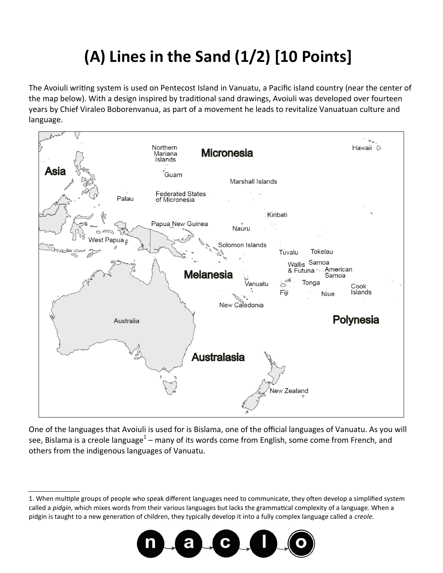## **(A) Lines in the Sand (1/2) [10 Points]**

The Avoiuli writing system is used on Pentecost Island in Vanuatu, a Pacific island country (near the center of the map below). With a design inspired by traditional sand drawings, Avoiuli was developed over fourteen years by Chief Viraleo Boborenvanua, as part of a movement he leads to revitalize Vanuatuan culture and language.



One of the languages that Avoiuli is used for is Bislama, one of the official languages of Vanuatu. As you will see, Bislama is a creole language<sup>1</sup> – many of its words come from English, some come from French, and others from the indigenous languages of Vanuatu.

<sup>1.</sup> When multiple groups of people who speak different languages need to communicate, they often develop a simplified system called a *pidgin*, which mixes words from their various languages but lacks the grammatical complexity of a language. When a pidgin is taught to a new generation of children, they typically develop it into a fully complex language called a *creole*.